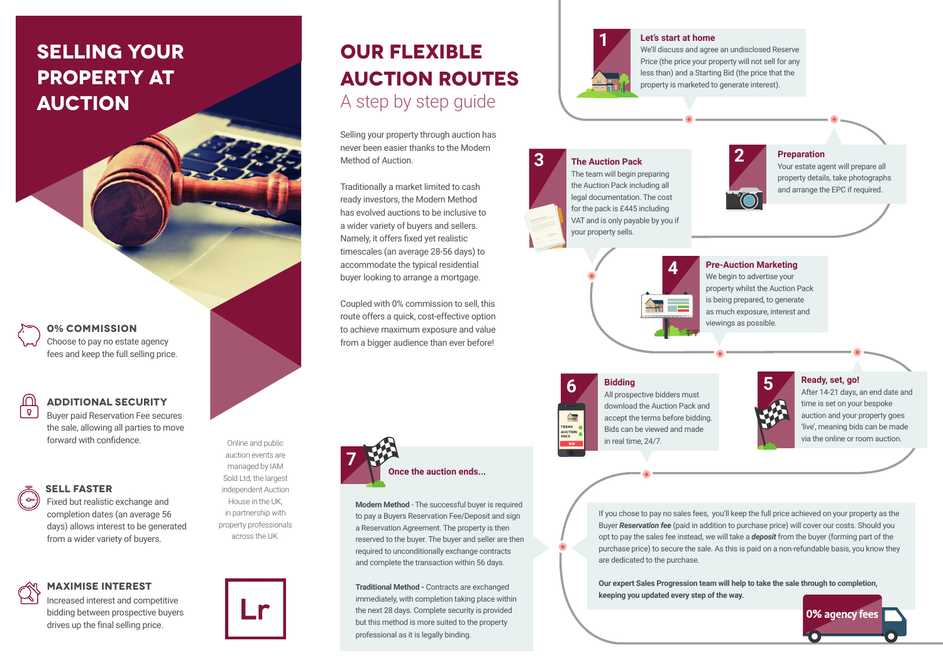# **selling your property at auction**

**0% COMMISSION** Choose to pay no estate agency fees and keep the full selling price.

## **ADDITIONAL SECURITY**

Buyer paid Reservation Fee secures the sale, allowing all parties to move forward with confidence.

Online and public auction events are managed by IAM Sold Ltd; the largest independent Auction House in the UK, in partnership with property professionals across the UK.

## **SELL faster**

Fixed but realistic exchange and completion dates (an average 56 days) allows interest to be generated from a wider variety of buyers.

## **MAXIMISE INTEREST**

 $Q$ 

Increased interest and competitive bidding between prospective buyers drives up the final selling price.

# **OUR FLEXIBLE AUCTION ROUTES** A step by step guide

Selling your property through auction has never been easier thanks to the Modern Method of Auction.

Traditionally a market limited to cash ready investors, the Modern Method has evolved auctions to be inclusive to a wider variety of buyers and sellers. Namely, it offers fixed yet realistic timescales (an average 28-56 days) to accommodate the typical residential buyer looking to arrange a mortgage.

Coupled with 0% commission to sell, this route offers a quick, cost-effective option to achieve maximum exposure and value from a bigger audience than ever before!



**Modern Method** - The successful buyer is required to pay a Buyers Reservation Fee/Deposit and sign a Reservation Agreement. The property is then reserved to the buyer. The buyer and seller are then required to unconditionally exchange contracts and complete the transaction within 56 days.

**Traditional Method -** Contracts are exchanged immediately, with completion taking place within the next 28 days. Complete security is provided but this method is more suited to the property professional as it is legally binding.



### **Let's start at home**

We'll discuss and agree an undisclosed Reserve Price (the price your property will not sell for any less than) and a Starting Bid (the price that the property is marketed to generate interest).

## **3 2 The Auction Pack**

The team will begin preparing the Auction Pack including all legal documentation. The cost for the pack is £445 including VAT and is only payable by you if your property sells.



**Preparation**

Your estate agent will prepare all property details, take photographs and arrange the EPC if required.



### **Pre-Auction Marketing**

We begin to advertise your property whilst the Auction Pack is being prepared, to generate as much exposure, interest and viewings as possible.

缶 AUCTIO

**6 5** All prospective bidders must **Bidding** download the Auction Pack and accept the terms before bidding. Bids can be viewed and made in real time, 24/7.

**Ready, set, go!**

After 14-21 days, an end date and time is set on your bespoke auction and your property goes 'live', meaning bids can be made via the online or room auction.

If you chose to pay no sales fees, you'll keep the full price achieved on your property as the Buyer *Reservation fee* (paid in addition to purchase price) will cover our costs. Should you opt to pay the sales fee instead, we will take a *deposit* from the buyer (forming part of the purchase price) to secure the sale. As this is paid on a non-refundable basis, you know they are dedicated to the purchase.

**Our expert Sales Progression team will help to take the sale through to completion, keeping you updated every step of the way.**